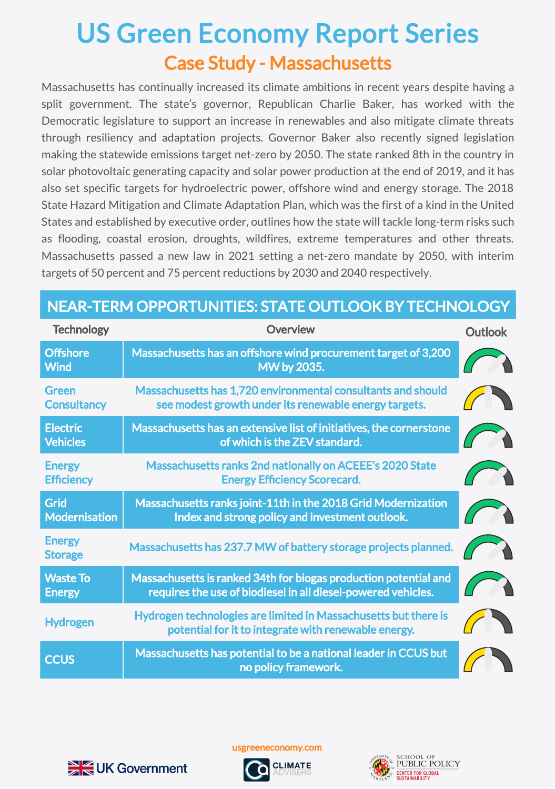## Case Study - Massachusetts US Green Economy Report Series

Massachusetts has continually increased its climate ambitions in recent years despite having a split government. The state's governor, Republican Charlie Baker, has worked with the Democratic legislature to support an increase in renewables and also mitigate climate threats through resiliency and adaptation projects. Governor Baker also recently signed legislation making the statewide emissions target net-zero by 2050. The state ranked 8th in the country in solar photovoltaic generating capacity and solar power production at the end of 2019, and it has also set specific targets for hydroelectric power, offshore wind and energy storage. The 2018 State Hazard Mitigation and Climate Adaptation Plan, which was the first of a kind in the United States and established by executive order, outlines how the state will tackle long-term risks such as flooding, coastal erosion, droughts, wildfires, extreme temperatures and other threats. Massachusetts passed a new law in 2021 setting a net-zero mandate by 2050, with interim targets of 50 percent and 75 percent reductions by 2030 and 2040 respectively.

| <b>Technology</b>                   | Overview                                                                                                                          | <b>Outlook</b> |
|-------------------------------------|-----------------------------------------------------------------------------------------------------------------------------------|----------------|
| <b>Offshore</b><br><b>Wind</b>      | Massachusetts has an offshore wind procurement target of 3,200<br>MW by 2035.                                                     |                |
| <b>Green</b><br><b>Consultancy</b>  | Massachusetts has 1,720 environmental consultants and should<br>see modest growth under its renewable energy targets.             |                |
| <b>Electric</b><br><b>Vehicles</b>  | Massachusetts has an extensive list of initiatives, the cornerstone<br>of which is the ZEV standard.                              |                |
| <b>Energy</b><br><b>Efficiency</b>  | Massachusetts ranks 2nd nationally on ACEEE's 2020 State<br><b>Energy Efficiency Scorecard.</b>                                   |                |
| <b>Grid</b><br><b>Modernisation</b> | Massachusetts ranks joint-11th in the 2018 Grid Modernization<br>Index and strong policy and investment outlook.                  |                |
| <b>Energy</b><br><b>Storage</b>     | Massachusetts has 237.7 MW of battery storage projects planned.                                                                   |                |
| <b>Waste To</b><br><b>Energy</b>    | Massachusetts is ranked 34th for biogas production potential and<br>requires the use of biodiesel in all diesel-powered vehicles. |                |
| <b>Hydrogen</b>                     | Hydrogen technologies are limited in Massachusetts but there is<br>potential for it to integrate with renewable energy.           |                |
| <b>CCUS</b>                         | Massachusetts has potential to be a national leader in CCUS but<br>no policy framework.                                           |                |

## NEAR-TERM OPPORTUNITIES: STATE OUTLOOK BY TECHNOLOGY



usgreeneconomy.com